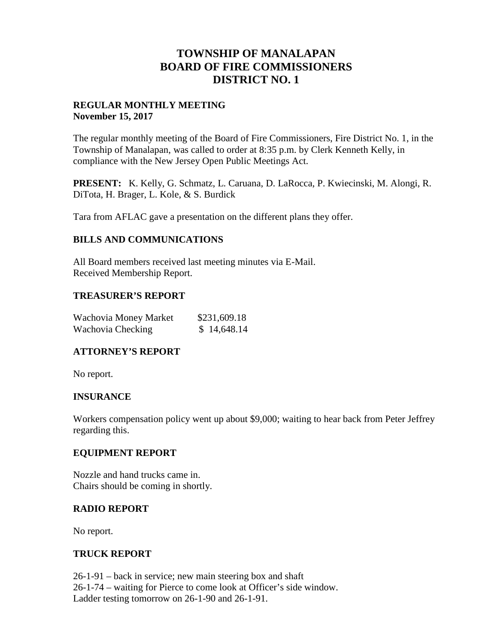# **TOWNSHIP OF MANALAPAN BOARD OF FIRE COMMISSIONERS DISTRICT NO. 1**

## **REGULAR MONTHLY MEETING November 15, 2017**

The regular monthly meeting of the Board of Fire Commissioners, Fire District No. 1, in the Township of Manalapan, was called to order at 8:35 p.m. by Clerk Kenneth Kelly, in compliance with the New Jersey Open Public Meetings Act.

**PRESENT:** K. Kelly, G. Schmatz, L. Caruana, D. LaRocca, P. Kwiecinski, M. Alongi, R. DiTota, H. Brager, L. Kole, & S. Burdick

Tara from AFLAC gave a presentation on the different plans they offer.

## **BILLS AND COMMUNICATIONS**

All Board members received last meeting minutes via E-Mail. Received Membership Report.

## **TREASURER'S REPORT**

| Wachovia Money Market | \$231,609.18 |
|-----------------------|--------------|
| Wachovia Checking     | \$14,648.14  |

## **ATTORNEY'S REPORT**

No report.

### **INSURANCE**

Workers compensation policy went up about \$9,000; waiting to hear back from Peter Jeffrey regarding this.

### **EQUIPMENT REPORT**

Nozzle and hand trucks came in. Chairs should be coming in shortly.

### **RADIO REPORT**

No report.

### **TRUCK REPORT**

26-1-91 – back in service; new main steering box and shaft 26-1-74 – waiting for Pierce to come look at Officer's side window. Ladder testing tomorrow on 26-1-90 and 26-1-91.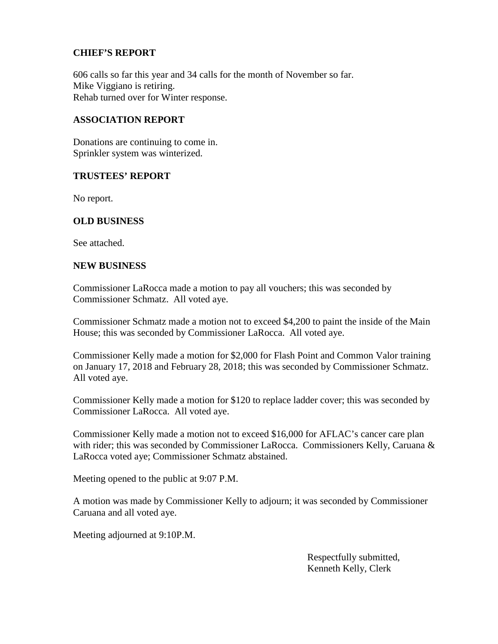## **CHIEF'S REPORT**

606 calls so far this year and 34 calls for the month of November so far. Mike Viggiano is retiring. Rehab turned over for Winter response.

#### **ASSOCIATION REPORT**

Donations are continuing to come in. Sprinkler system was winterized.

#### **TRUSTEES' REPORT**

No report.

### **OLD BUSINESS**

See attached.

#### **NEW BUSINESS**

Commissioner LaRocca made a motion to pay all vouchers; this was seconded by Commissioner Schmatz. All voted aye.

Commissioner Schmatz made a motion not to exceed \$4,200 to paint the inside of the Main House; this was seconded by Commissioner LaRocca. All voted aye.

Commissioner Kelly made a motion for \$2,000 for Flash Point and Common Valor training on January 17, 2018 and February 28, 2018; this was seconded by Commissioner Schmatz. All voted aye.

Commissioner Kelly made a motion for \$120 to replace ladder cover; this was seconded by Commissioner LaRocca. All voted aye.

Commissioner Kelly made a motion not to exceed \$16,000 for AFLAC's cancer care plan with rider; this was seconded by Commissioner LaRocca. Commissioners Kelly, Caruana & LaRocca voted aye; Commissioner Schmatz abstained.

Meeting opened to the public at 9:07 P.M.

A motion was made by Commissioner Kelly to adjourn; it was seconded by Commissioner Caruana and all voted aye.

Meeting adjourned at 9:10P.M.

Respectfully submitted, Kenneth Kelly, Clerk